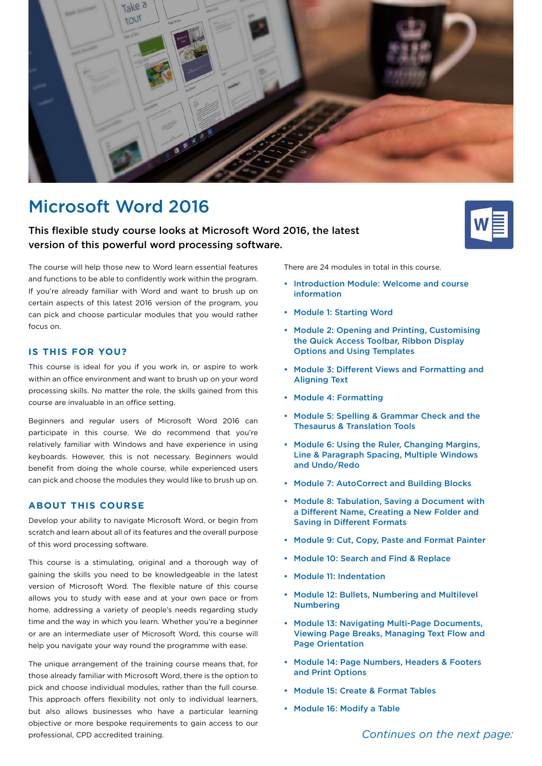

# Microsoft Word 2016

# This flexible study course looks at Microsoft Word 2016, the latest version of this powerful word processing software.



The course will help those new to Word learn essential features and functions to be able to confidently work within the program. If you're already familiar with Word and want to brush up on certain aspects of this latest 2016 version of the program, you can pick and choose particular modules that you would rather focus on.

## **IS THIS FOR YOU?**

This course is ideal for you if you work in, or aspire to work within an office environment and want to brush up on your word processing skills. No matter the role, the skills gained from this course are invaluable in an office setting.

Beginners and regular users of Microsoft Word 2016 can participate in this course. We do recommend that you're relatively familiar with Windows and have experience in using keyboards. However, this is not necessary. Beginners would benefit from doing the whole course, while experienced users can pick and choose the modules they would like to brush up on.

## **ABOUT THIS COURSE**

Develop your ability to navigate Microsoft Word, or begin from scratch and learn about all of its features and the overall purpose of this word processing software.

This course is a stimulating, original and a thorough way of gaining the skills you need to be knowledgeable in the latest version of Microsoft Word. The flexible nature of this course allows you to study with ease and at your own pace or from home, addressing a variety of people's needs regarding study time and the way in which you learn. Whether you're a beginner or are an intermediate user of Microsoft Word, this course will help you navigate your way round the programme with ease.

The unique arrangement of the training course means that, for those already familiar with Microsoft Word, there is the option to pick and choose individual modules, rather than the full course. This approach offers flexibility not only to individual learners, but also allows businesses who have a particular learning objective or more bespoke requirements to gain access to our professional, CPD accredited training.

There are 24 modules in total in this course.

- Introduction Module: Welcome and course information
- Module 1: Starting Word
- Module 2: Opening and Printing, Customising the Quick Access Toolbar, Ribbon Display Options and Using Templates
- Module 3: Different Views and Formatting and Aligning Text
- Module 4: Formatting
- Module 5: Spelling & Grammar Check and the Thesaurus & Translation Tools
- Module 6: Using the Ruler, Changing Margins, Line & Paragraph Spacing, Multiple Windows and Undo/Redo
- Module 7: AutoCorrect and Building Blocks
- Module 8: Tabulation, Saving a Document with a Different Name, Creating a New Folder and Saving in Different Formats
- Module 9: Cut, Copy, Paste and Format Painter
- Module 10: Search and Find & Replace
- Module 11: Indentation
- Module 12: Bullets, Numbering and Multilevel Numbering
- Module 13: Navigating Multi-Page Documents, Viewing Page Breaks, Managing Text Flow and Page Orientation
- Module 14: Page Numbers, Headers & Footers and Print Options
- Module 15: Create & Format Tables
- Module 16: Modify a Table

*Continues on the next page:*